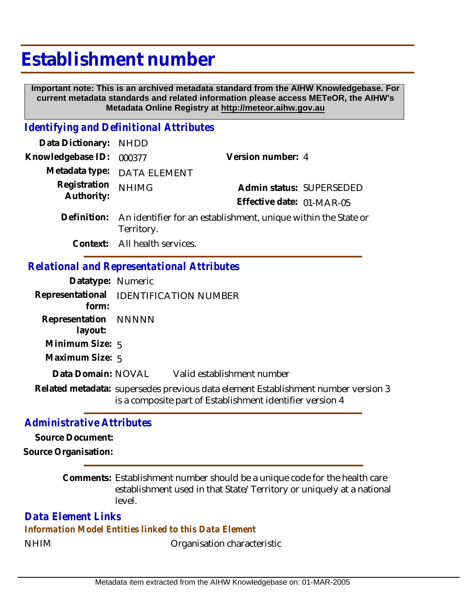# **Establishment number**

 **Important note: This is an archived metadata standard from the AIHW Knowledgebase. For current metadata standards and related information please access METeOR, the AIHW's Metadata Online Registry at http://meteor.aihw.gov.au**

## *Identifying and Definitional Attributes*

| Data Dictionary:                                  | NHDD                          |                                                                            |  |  |
|---------------------------------------------------|-------------------------------|----------------------------------------------------------------------------|--|--|
| Knowledgebase ID:                                 | 000377                        | Version number: 4                                                          |  |  |
|                                                   | Metadata type: DATA ELEMENT   |                                                                            |  |  |
| Registration<br>Authority:                        | <b>NHIMG</b>                  | Admin status: SUPERSEDED                                                   |  |  |
|                                                   |                               | Effective date: 01-MAR-05                                                  |  |  |
|                                                   | Territory.                    | Definition: An identifier for an establishment, unique within the State or |  |  |
|                                                   | Context: All health services. |                                                                            |  |  |
| <b>Relational and Representational Attributes</b> |                               |                                                                            |  |  |

#### **Datatype:** Numeric **Representational** IDENTIFICATION NUMBER  **form: Representation** NNNNN  **layout: Minimum Size:** 5 **Maximum Size:** 5 Valid establishment number Related metadata: supersedes previous data element Establishment number version 3 is a composite part of Establishment identifier version 4 **Data Domain:**

### *Administrative Attributes*

**Source Document:**

**Source Organisation:**

Comments: Establishment number should be a unique code for the health care establishment used in that State/Territory or uniquely at a national level.

## *Data Element Links*

*Information Model Entities linked to this Data Element*

NHIM Organisation characteristic